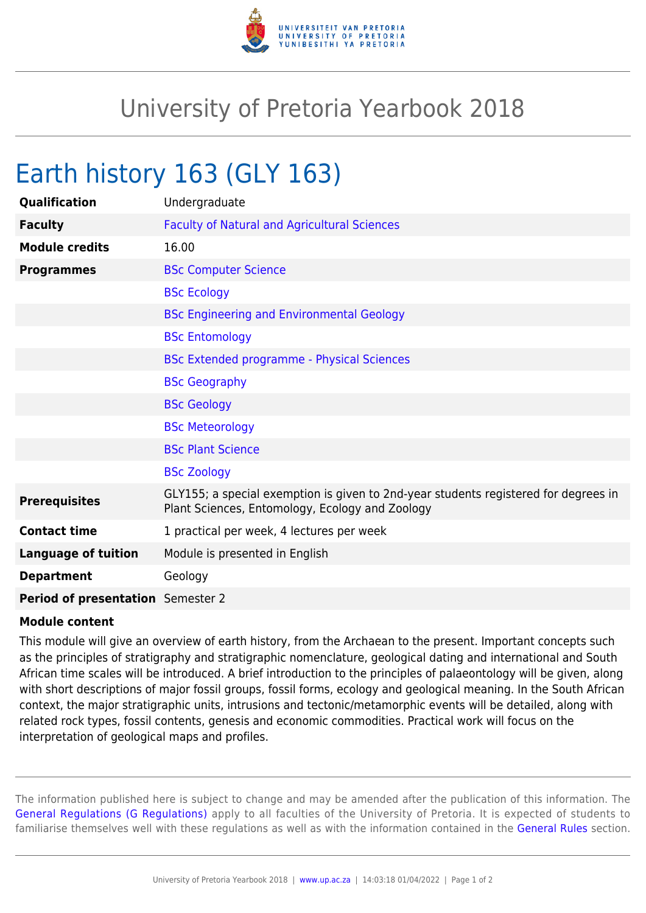

## University of Pretoria Yearbook 2018

## Earth history 163 (GLY 163)

| Qualification                            | Undergraduate                                                                                                                          |
|------------------------------------------|----------------------------------------------------------------------------------------------------------------------------------------|
| <b>Faculty</b>                           | <b>Faculty of Natural and Agricultural Sciences</b>                                                                                    |
| <b>Module credits</b>                    | 16.00                                                                                                                                  |
| <b>Programmes</b>                        | <b>BSc Computer Science</b>                                                                                                            |
|                                          | <b>BSc Ecology</b>                                                                                                                     |
|                                          | <b>BSc Engineering and Environmental Geology</b>                                                                                       |
|                                          | <b>BSc Entomology</b>                                                                                                                  |
|                                          | <b>BSc Extended programme - Physical Sciences</b>                                                                                      |
|                                          | <b>BSc Geography</b>                                                                                                                   |
|                                          | <b>BSc Geology</b>                                                                                                                     |
|                                          | <b>BSc Meteorology</b>                                                                                                                 |
|                                          | <b>BSc Plant Science</b>                                                                                                               |
|                                          | <b>BSc Zoology</b>                                                                                                                     |
| <b>Prerequisites</b>                     | GLY155; a special exemption is given to 2nd-year students registered for degrees in<br>Plant Sciences, Entomology, Ecology and Zoology |
| <b>Contact time</b>                      | 1 practical per week, 4 lectures per week                                                                                              |
| <b>Language of tuition</b>               | Module is presented in English                                                                                                         |
| <b>Department</b>                        | Geology                                                                                                                                |
| <b>Period of presentation</b> Semester 2 |                                                                                                                                        |

## **Module content**

This module will give an overview of earth history, from the Archaean to the present. Important concepts such as the principles of stratigraphy and stratigraphic nomenclature, geological dating and international and South African time scales will be introduced. A brief introduction to the principles of palaeontology will be given, along with short descriptions of major fossil groups, fossil forms, ecology and geological meaning. In the South African context, the major stratigraphic units, intrusions and tectonic/metamorphic events will be detailed, along with related rock types, fossil contents, genesis and economic commodities. Practical work will focus on the interpretation of geological maps and profiles.

The information published here is subject to change and may be amended after the publication of this information. The [General Regulations \(G Regulations\)](https://www.up.ac.za/yearbooks/2018/rules/view/REG) apply to all faculties of the University of Pretoria. It is expected of students to familiarise themselves well with these regulations as well as with the information contained in the [General Rules](https://www.up.ac.za/yearbooks/2018/rules/view/RUL) section.